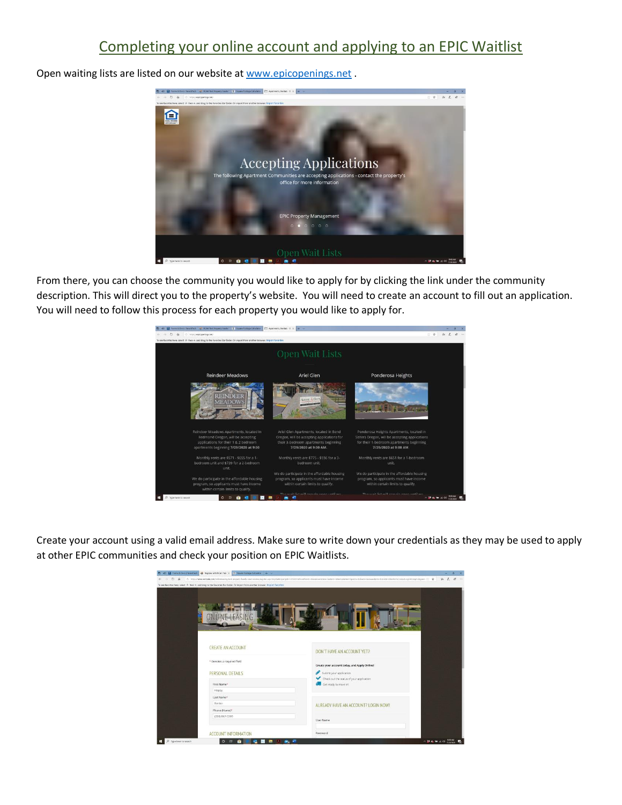## Completing your online account and applying to an EPIC Waitlist



Open waiting lists are listed on our website at [www.epicopenings.net](http://www.epicopenings.net/) .

From there, you can choose the community you would like to apply for by clicking the link under the community description. This will direct you to the property's website. You will need to create an account to fill out an application. You will need to follow this process for each property you would like to apply for.



Create your account using a valid email address. Make sure to write down your credentials as they may be used to apply at other EPIC communities and check your position on EPIC Waitlists.

|                                | 한 리 달 forms & Docs   finantfact ● flegionr with ficial fact X E biguine footige Catulator + <                                    |                                                                                                                                                                                                                              |    |  |
|--------------------------------|----------------------------------------------------------------------------------------------------------------------------------|------------------------------------------------------------------------------------------------------------------------------------------------------------------------------------------------------------------------------|----|--|
| $\leftarrow$ +<br>$O$ $\Omega$ |                                                                                                                                  | □ fttps://www.webalk.com/cnlinelasing/lati-property-haela-view-schiko/register.appchryDleProperty1d =12231378/fand9-EBLMAnetriCate=Schiert=SiltersUnderSypeDia-Babadi+disLase/Temm &Unit(D=SplitfromContactCogeOnomyt=Bapadi | ÷. |  |
|                                | To see favorites here, select 11 then tr, and shap to the Favorites Bar folder. Or import from another browser. Import favorites |                                                                                                                                                                                                                              |    |  |
|                                |                                                                                                                                  |                                                                                                                                                                                                                              |    |  |
|                                |                                                                                                                                  |                                                                                                                                                                                                                              |    |  |
|                                |                                                                                                                                  |                                                                                                                                                                                                                              |    |  |
|                                |                                                                                                                                  |                                                                                                                                                                                                                              |    |  |
|                                |                                                                                                                                  |                                                                                                                                                                                                                              |    |  |
|                                |                                                                                                                                  |                                                                                                                                                                                                                              |    |  |
|                                |                                                                                                                                  |                                                                                                                                                                                                                              |    |  |
|                                |                                                                                                                                  |                                                                                                                                                                                                                              |    |  |
|                                |                                                                                                                                  |                                                                                                                                                                                                                              |    |  |
|                                |                                                                                                                                  |                                                                                                                                                                                                                              |    |  |
|                                | <b>CREATE AN ACCOUNT</b>                                                                                                         | DON'T HAVE AN ACCOUNT YET?                                                                                                                                                                                                   |    |  |
|                                |                                                                                                                                  |                                                                                                                                                                                                                              |    |  |
|                                | <sup>*</sup> Denotes a required field                                                                                            | Create your account today, and Apply Online!                                                                                                                                                                                 |    |  |
|                                |                                                                                                                                  |                                                                                                                                                                                                                              |    |  |
|                                | PERSONAL DETAILS                                                                                                                 | Submit your application                                                                                                                                                                                                      |    |  |
|                                |                                                                                                                                  | Check out the status of your application                                                                                                                                                                                     |    |  |
|                                | First Name <sup>®</sup>                                                                                                          | Get ready to move in                                                                                                                                                                                                         |    |  |
|                                | Happy                                                                                                                            |                                                                                                                                                                                                                              |    |  |
|                                | Last Name*                                                                                                                       |                                                                                                                                                                                                                              |    |  |
|                                | Renter                                                                                                                           | ALREADY HAVE AN ACCOUNT? LOGIN NOW!                                                                                                                                                                                          |    |  |
|                                | Phone (Home) <sup>»</sup>                                                                                                        |                                                                                                                                                                                                                              |    |  |
|                                | (000) 867-5309                                                                                                                   |                                                                                                                                                                                                                              |    |  |
|                                |                                                                                                                                  | User Name                                                                                                                                                                                                                    |    |  |
|                                |                                                                                                                                  |                                                                                                                                                                                                                              |    |  |
|                                | <b>ACCOUNT INFORMATION</b>                                                                                                       | Password                                                                                                                                                                                                                     |    |  |
| $\circ$<br>Type here to search | $\circ$<br>冒<br>Б<br><b>A</b> .<br>Ŧ                                                                                             | △ 23 名 输 应 01 mmm<br>第一章                                                                                                                                                                                                     |    |  |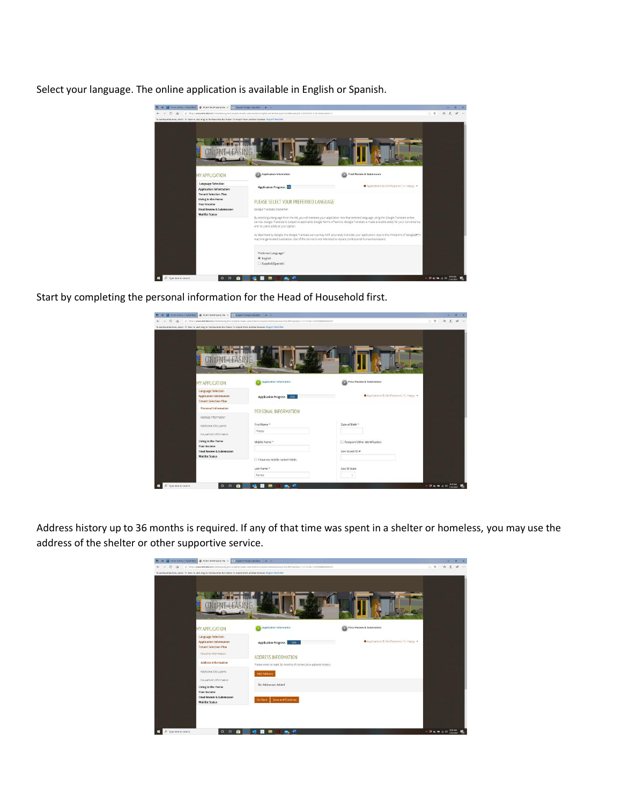Select your language. The online application is available in English or Spanish.



Start by completing the personal information for the Head of Household first.

| 45 6 forms & Docs   Newsthelt # Inclusion Property Hay X 2 Square Footage Calculator + V                                         |                                                                                                                                             |                                           |                                | $\sigma$<br>$\mathbf{x}$ |  |
|----------------------------------------------------------------------------------------------------------------------------------|---------------------------------------------------------------------------------------------------------------------------------------------|-------------------------------------------|--------------------------------|--------------------------|--|
| $\circ$<br>$\alpha$<br>÷                                                                                                         | △ https://www.tehtafe.com/colineiessrg/test-property-hawks-vew-estates/complianceintervess.aspx?myCleFrspertytdx122310781=0.291488441844231 |                                           | □ ☆                            | * & # -                  |  |
| To see favorites here, select th then in, and drag to the Favorites Bar folder. Or import from another browser, import favorites |                                                                                                                                             |                                           |                                |                          |  |
|                                                                                                                                  |                                                                                                                                             |                                           |                                |                          |  |
| <b>MY APPLICATION</b>                                                                                                            | Application Information                                                                                                                     | Final Review & Submission                 |                                |                          |  |
| Language Selection<br>Application Information<br><b>Tenant Selection Plan</b>                                                    | Application Progress 221                                                                                                                    | Applications & Certifications   Hi, Happy |                                |                          |  |
| Personal Information                                                                                                             | PERSONAL INFORMATION                                                                                                                        |                                           |                                |                          |  |
| Address information                                                                                                              |                                                                                                                                             |                                           |                                |                          |  |
| Additional Occupants                                                                                                             | First Name *                                                                                                                                | Date of Birth *                           |                                |                          |  |
|                                                                                                                                  | Happy                                                                                                                                       |                                           |                                |                          |  |
| Household information<br>Living in the Home<br>Your Income                                                                       | Middle Name *                                                                                                                               | Passport/Other Identification             |                                |                          |  |
| Final Review & Submission<br><b>Waitlist Status</b>                                                                              | I have no middle name/initials.                                                                                                             | Gov Issued ID #                           |                                |                          |  |
|                                                                                                                                  | Last Name *                                                                                                                                 | Goy ID State                              |                                |                          |  |
|                                                                                                                                  | Renter                                                                                                                                      | $\sim$                                    |                                |                          |  |
| Type here to search<br>$\Rightarrow$<br>$\circ$<br>m                                                                             | ×<br>ы<br>m.                                                                                                                                |                                           | $-$ 23 de M di 44 $_{2025200}$ |                          |  |

Address history up to 36 months is required. If any of that time was spent in a shelter or homeless, you may use the address of the shelter or other supportive service.

| 图 41 回 forms & Docs   finantflick ■ RCAH fiel Property Ha X 区 Square Fortage Calculator → V                                       | ← → O @ B Improvessentate.com/orlineies/opplet-property-haals-vew-etates/complancenters/ex.aspx/myCleFropertydz122510781=0.2914884288420231 |                                           | <b>TRALE-</b> |  |
|-----------------------------------------------------------------------------------------------------------------------------------|---------------------------------------------------------------------------------------------------------------------------------------------|-------------------------------------------|---------------|--|
| To see favorites here, select. th then is, and drag to the Favorites Bar folder. Or import from another browser, import favorites |                                                                                                                                             |                                           |               |  |
|                                                                                                                                   |                                                                                                                                             |                                           |               |  |
|                                                                                                                                   |                                                                                                                                             |                                           |               |  |
|                                                                                                                                   |                                                                                                                                             |                                           |               |  |
|                                                                                                                                   |                                                                                                                                             |                                           |               |  |
|                                                                                                                                   |                                                                                                                                             |                                           |               |  |
|                                                                                                                                   |                                                                                                                                             |                                           |               |  |
|                                                                                                                                   |                                                                                                                                             |                                           |               |  |
| <b>MY APPLICATION</b>                                                                                                             | Application Information                                                                                                                     | Final Review & Submission                 |               |  |
| Language Selection                                                                                                                |                                                                                                                                             |                                           |               |  |
| Application Information                                                                                                           | Application Progress<br>28%                                                                                                                 | Applications & Certifications   Hi, Happy |               |  |
| <b>Tenant Selection Plan</b>                                                                                                      |                                                                                                                                             |                                           |               |  |
| Personal information                                                                                                              |                                                                                                                                             |                                           |               |  |
| <b>Address Information</b>                                                                                                        | ADDRESS INFORMATION                                                                                                                         |                                           |               |  |
|                                                                                                                                   | Please enter at least 36 months of consecutive address history.                                                                             |                                           |               |  |
| Additional Occupants                                                                                                              | Add Address                                                                                                                                 |                                           |               |  |
| Household Information                                                                                                             |                                                                                                                                             |                                           |               |  |
| Living in the Home                                                                                                                | No Addresses Added                                                                                                                          |                                           |               |  |
| Your Income                                                                                                                       |                                                                                                                                             |                                           |               |  |
| Final Review & Submission                                                                                                         | Save and Continue<br>Go Back                                                                                                                |                                           |               |  |
| <b>Waitlist Status</b>                                                                                                            |                                                                                                                                             |                                           |               |  |
|                                                                                                                                   |                                                                                                                                             |                                           |               |  |
|                                                                                                                                   |                                                                                                                                             |                                           |               |  |
|                                                                                                                                   |                                                                                                                                             |                                           |               |  |
|                                                                                                                                   |                                                                                                                                             |                                           |               |  |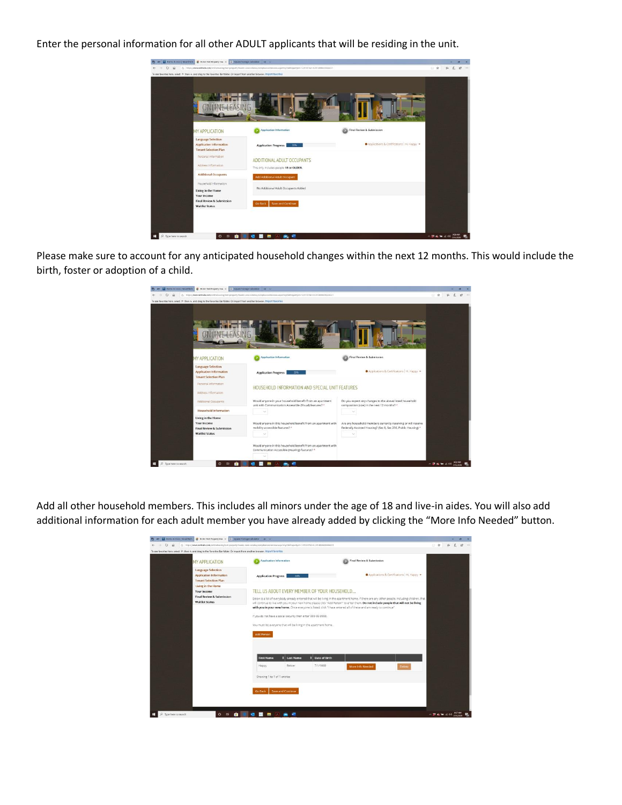Enter the personal information for all other ADULT applicants that will be residing in the unit.

| $\leftarrow$ $\rightarrow$ 0 $\Omega$ |                                                                                                                                 | The C E Torm & Docs   Tenentfech   E TCAN Test Property Kin X   E Square Rockage Calculator   + V<br>B https://www.netitaliu.com/critinsiuming/bist-property-basis-view-intakin/compliance/minimyions.ago/myOisPropertytel=1225107Ad=02914889436444271 |                                           | $\overline{a}$<br>二 会<br>在 五<br>18                                                  |
|---------------------------------------|---------------------------------------------------------------------------------------------------------------------------------|--------------------------------------------------------------------------------------------------------------------------------------------------------------------------------------------------------------------------------------------------------|-------------------------------------------|-------------------------------------------------------------------------------------|
|                                       | To see favorites here, select th than e, and drag to the Favorites Bar folder. Or import from another browser, import favorites |                                                                                                                                                                                                                                                        |                                           |                                                                                     |
|                                       |                                                                                                                                 |                                                                                                                                                                                                                                                        |                                           |                                                                                     |
|                                       | <b>MY APPLICATION</b>                                                                                                           | Application Information                                                                                                                                                                                                                                | Final Review & Submission                 |                                                                                     |
|                                       | Language Selection<br><b>Application Information</b><br><b>Tenant Selection Plan</b>                                            | <b>Application Progress</b><br>33%                                                                                                                                                                                                                     | Applications & Certifications   Hi, Happy |                                                                                     |
|                                       | Personal Information<br>Address Information                                                                                     | ADDITIONAL ADULT OCCUPANTS<br>This only includes people 18 or OLDER.                                                                                                                                                                                   |                                           |                                                                                     |
|                                       | <b>Additional Occupants</b>                                                                                                     | Add Additional Adult Occupant                                                                                                                                                                                                                          |                                           |                                                                                     |
|                                       | Household Information<br>Living in the Home<br>Your Income                                                                      | No Additional Adult Occupants Added                                                                                                                                                                                                                    |                                           |                                                                                     |
|                                       | <b>Final Review &amp; Submission</b><br><b>Waitlist Status</b>                                                                  | <b>Save and Continue</b><br>Go Back                                                                                                                                                                                                                    |                                           |                                                                                     |
|                                       |                                                                                                                                 | 高州                                                                                                                                                                                                                                                     |                                           | $\sim$ $\mathbf{B}$ $\mathbf{e}_t$ $=$ $\alpha$ of $\frac{900 \text{ AM}}{1020000}$ |

Please make sure to account for any anticipated household changes within the next 12 months. This would include the birth, foster or adoption of a child.

| $O$ $\Omega$ | To see favorites here, select 1 then e, and drag to the Favorites Bar folder. Or import from another browser, Import favorites | B https://www.netbalk.com/cnlineleasing/test-property-banks-view-intates/complanceintereive.aspx?myOleRropertyd=122570781=02974088418644221 |                                                                                                                                 | A L B<br>山 食 |
|--------------|--------------------------------------------------------------------------------------------------------------------------------|---------------------------------------------------------------------------------------------------------------------------------------------|---------------------------------------------------------------------------------------------------------------------------------|--------------|
|              |                                                                                                                                |                                                                                                                                             |                                                                                                                                 |              |
|              | <b>MY APPLICATION</b>                                                                                                          | <b>Application Information</b>                                                                                                              | Final Review & Submission                                                                                                       |              |
|              | <b>Language Selection</b><br>Application Information<br><b>Tenant Selection Plan</b>                                           | Application Progress<br>29%                                                                                                                 | Applications & Certifications   HI, Happy                                                                                       |              |
|              | Personal Information<br>Address information                                                                                    | HOUSEHOLD INFORMATION AND SPECIAL UNIT FEATURES.                                                                                            |                                                                                                                                 |              |
|              | Additional Occupants                                                                                                           | Would anyone in your household benefit from an apartment<br>unit with Communication Accessible (Visual) features? *                         | Do you expect any changes to the above listed household<br>composition (size) in the next 12 months? *                          |              |
|              | <b>Household Information</b>                                                                                                   | $\sim$                                                                                                                                      | c                                                                                                                               |              |
|              | Living in the Home<br>Your Income<br>Final Review & Submission<br><b>Waitlist Status</b>                                       | Would anyone in this household benefit from an apartment with<br>mobility accessible features? *                                            | Are any household members currently receiving or will receive<br>Federally Assisted Housing? (Sec 8, Sec 236, Public Housing) * |              |
|              |                                                                                                                                | Would anyone in this household benefit from an apartment with<br>Communication Accessible (Hearing) features? *                             |                                                                                                                                 |              |

Add all other household members. This includes all minors under the age of 18 and live-in aides. You will also add additional information for each adult member you have already added by clicking the "More Info Needed" button.

| <b>Language Selection</b><br>Applications & Certifications   HL Happy<br>Application Information<br>44%<br>Application Progress<br><b>Tenant Selection Plan</b><br>Living in the Home<br>TELL US ABOUT EVERY MEMBER OF YOUR HOUSEHOLD<br>Your Income<br>Final Review & Submission<br>Below is a list of everybody already entered that will be living in the apartment home. If there are any other people, including children, that<br><b>Waitlist Status</b><br>will continue to live with you in your new home please click "Add Person" to enter them. Do not include people that will not be living<br>with you in your new home. Once everyone is listed, dick "I have entered all of these and am ready to continue"<br>If you do not have a social security then enter 999-99-9999.<br>You must list everyone that will be living in the apartment home.<br>Add Person<br><b>Date of Birth</b><br><b>First Name</b><br><b>Last Name</b> |
|-------------------------------------------------------------------------------------------------------------------------------------------------------------------------------------------------------------------------------------------------------------------------------------------------------------------------------------------------------------------------------------------------------------------------------------------------------------------------------------------------------------------------------------------------------------------------------------------------------------------------------------------------------------------------------------------------------------------------------------------------------------------------------------------------------------------------------------------------------------------------------------------------------------------------------------------------|
|                                                                                                                                                                                                                                                                                                                                                                                                                                                                                                                                                                                                                                                                                                                                                                                                                                                                                                                                                 |
|                                                                                                                                                                                                                                                                                                                                                                                                                                                                                                                                                                                                                                                                                                                                                                                                                                                                                                                                                 |
|                                                                                                                                                                                                                                                                                                                                                                                                                                                                                                                                                                                                                                                                                                                                                                                                                                                                                                                                                 |
|                                                                                                                                                                                                                                                                                                                                                                                                                                                                                                                                                                                                                                                                                                                                                                                                                                                                                                                                                 |
|                                                                                                                                                                                                                                                                                                                                                                                                                                                                                                                                                                                                                                                                                                                                                                                                                                                                                                                                                 |
|                                                                                                                                                                                                                                                                                                                                                                                                                                                                                                                                                                                                                                                                                                                                                                                                                                                                                                                                                 |
|                                                                                                                                                                                                                                                                                                                                                                                                                                                                                                                                                                                                                                                                                                                                                                                                                                                                                                                                                 |
|                                                                                                                                                                                                                                                                                                                                                                                                                                                                                                                                                                                                                                                                                                                                                                                                                                                                                                                                                 |
|                                                                                                                                                                                                                                                                                                                                                                                                                                                                                                                                                                                                                                                                                                                                                                                                                                                                                                                                                 |
|                                                                                                                                                                                                                                                                                                                                                                                                                                                                                                                                                                                                                                                                                                                                                                                                                                                                                                                                                 |
|                                                                                                                                                                                                                                                                                                                                                                                                                                                                                                                                                                                                                                                                                                                                                                                                                                                                                                                                                 |
|                                                                                                                                                                                                                                                                                                                                                                                                                                                                                                                                                                                                                                                                                                                                                                                                                                                                                                                                                 |
| 7/1/1969<br>Renter<br>Happy                                                                                                                                                                                                                                                                                                                                                                                                                                                                                                                                                                                                                                                                                                                                                                                                                                                                                                                     |
| More Info Needed<br><b>Delete</b>                                                                                                                                                                                                                                                                                                                                                                                                                                                                                                                                                                                                                                                                                                                                                                                                                                                                                                               |
| Showing 1 to 1 of 1 entries                                                                                                                                                                                                                                                                                                                                                                                                                                                                                                                                                                                                                                                                                                                                                                                                                                                                                                                     |
|                                                                                                                                                                                                                                                                                                                                                                                                                                                                                                                                                                                                                                                                                                                                                                                                                                                                                                                                                 |
|                                                                                                                                                                                                                                                                                                                                                                                                                                                                                                                                                                                                                                                                                                                                                                                                                                                                                                                                                 |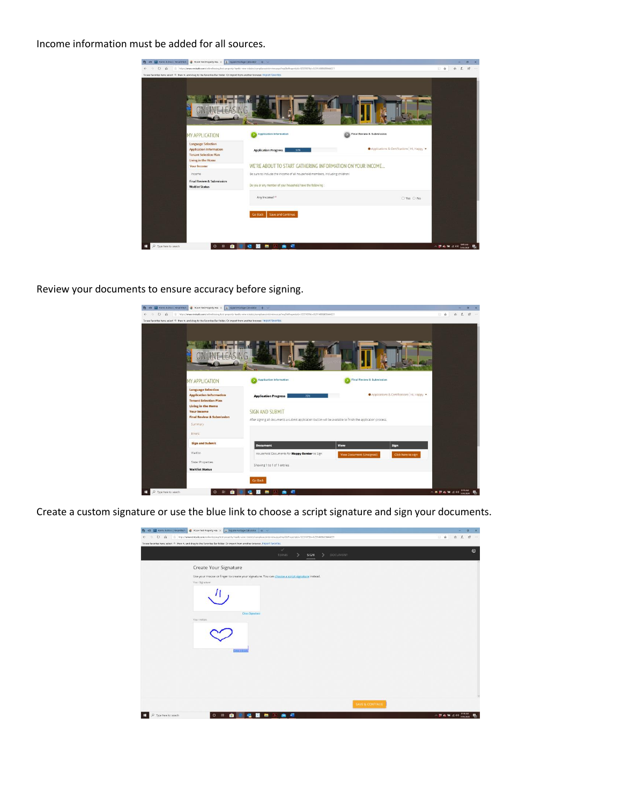## Income information must be added for all sources.



Review your documents to ensure accuracy before signing.

|                    | To see favorites here, select thi then it, and drag to the Favorites Bar folder. Or import from another browser. Import favorities |                                                                                                              |                          |                                          |  |
|--------------------|------------------------------------------------------------------------------------------------------------------------------------|--------------------------------------------------------------------------------------------------------------|--------------------------|------------------------------------------|--|
|                    |                                                                                                                                    |                                                                                                              |                          |                                          |  |
|                    | <b>MY APPLICATION</b>                                                                                                              | <b>Application Information</b>                                                                               |                          | Final Review & Submission                |  |
| <b>Your Income</b> | <b>Language Selection</b><br><b>Application Information</b><br><b>Tenant Selection Plan</b><br><b>Living in the Home</b>           | <b>Application Progress</b><br>78%<br><b>SIGN AND SUBMIT</b>                                                 |                          | Applications & Certifications   HL Happy |  |
| Summary<br>Errors  | <b>Final Review &amp; Submission</b>                                                                                               | After signing all documents a submit application button will be available to finish the application process. |                          |                                          |  |
|                    | <b>Sign and Submit</b>                                                                                                             | <b>Document</b>                                                                                              | View                     | Sign                                     |  |
| Waitlist           | Sister Properties<br><b>Waitlist Status</b>                                                                                        | Household Documents for Happy Renter to Sign<br>Showing 1 to 1 of 1 entries                                  | View Document (Unsigned) | Click hore to sign                       |  |

Create a custom signature or use the blue link to choose a script signature and sign your documents.

|                       | [편 - 편   급 Forms & Docs   TenantTech   총 RCAH Test Property Ha» X   Σ Square Footage Calculator   + V                                                  | $\sigma$<br>٠                                                                            |
|-----------------------|--------------------------------------------------------------------------------------------------------------------------------------------------------|------------------------------------------------------------------------------------------|
|                       | ← → C @ = https://www.rentorle.com/onlineleasing/test-property-hanks-view-estates/complanceinterview.aspx?mpOtePropertyda-12251078e=0.2914888438444221 | $\pm 1$ $\pm 1$ $\pm 2$<br>1.001                                                         |
|                       | To see favorites here, select 10. then it, and drag to the Favorites Bar folder. Or import from another browser. Import favorites.<br>✓                |                                                                                          |
|                       | > DOCUMENT<br><b>TERMS</b><br>SIGN<br>>                                                                                                                | $\circledcirc$                                                                           |
|                       |                                                                                                                                                        |                                                                                          |
|                       | Create Your Signature                                                                                                                                  |                                                                                          |
|                       | Use your mouse or finger to create your signature. You can choose a script signature instead.                                                          |                                                                                          |
|                       | Your Signature                                                                                                                                         |                                                                                          |
|                       |                                                                                                                                                        |                                                                                          |
|                       |                                                                                                                                                        |                                                                                          |
|                       |                                                                                                                                                        |                                                                                          |
|                       | Cear Signature                                                                                                                                         |                                                                                          |
|                       | Your initials:                                                                                                                                         |                                                                                          |
|                       |                                                                                                                                                        |                                                                                          |
|                       |                                                                                                                                                        |                                                                                          |
|                       |                                                                                                                                                        |                                                                                          |
|                       |                                                                                                                                                        |                                                                                          |
|                       |                                                                                                                                                        |                                                                                          |
|                       |                                                                                                                                                        |                                                                                          |
|                       |                                                                                                                                                        |                                                                                          |
|                       |                                                                                                                                                        |                                                                                          |
|                       |                                                                                                                                                        |                                                                                          |
|                       |                                                                                                                                                        |                                                                                          |
|                       |                                                                                                                                                        |                                                                                          |
|                       |                                                                                                                                                        | <b>SAVE &amp; CONTINUE</b>                                                               |
| P Type here to search | $O$ $\cong$ $\bullet$<br><b>IN 4</b><br>×<br>■ 区 ● 图                                                                                                   | $\sim$ 13 $\alpha$ in $\alpha$ 00 $\frac{214 \text{ AU}}{100 \text{ mm}}$ $\overline{m}$ |